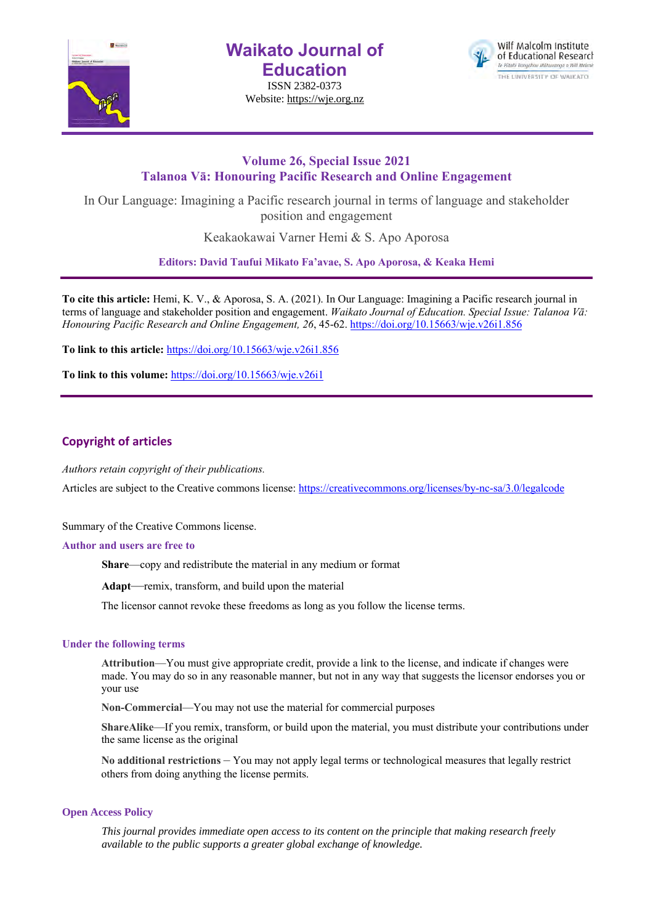

**Waikato Journal of Education**

ISSN 2382-0373 Website: https://wje.org.nz



# **Volume 26, Special Issue 2021 Talanoa Vā: Honouring Pacific Research and Online Engagement**

In Our Language: Imagining a Pacific research journal in terms of language and stakeholder position and engagement

Keakaokawai Varner Hemi & S. Apo Aporosa

**Editors: David Taufui Mikato Fa'avae, S. Apo Aporosa, & Keaka Hemi**

**To cite this article:** Hemi, K. V., & Aporosa, S. A. (2021). In Our Language: Imagining a Pacific research journal in terms of language and stakeholder position and engagement. *Waikato Journal of Education. Special Issue: Talanoa Vā: Honouring Pacific Research and Online Engagement, 26*, 45-62. https://doi.org/10.15663/wje.v26i1.856

**To link to this article:** https://doi.org/10.15663/wje.v26i1.856

**To link to this volume:** https://doi.org/10.15663/wje.v26i1

# **Copyright of articles**

*Authors retain copyright of their publications.*

Articles are subject to the Creative commons license: https://creativecommons.org/licenses/by-nc-sa/3.0/legalcode

Summary of the Creative Commons license.

### **Author and users are free to**

**Share**—copy and redistribute the material in any medium or format

**Adapt**—remix, transform, and build upon the material

The licensor cannot revoke these freedoms as long as you follow the license terms.

### **Under the following terms**

**Attribution**—You must give appropriate credit, provide a link to the license, and indicate if changes were made. You may do so in any reasonable manner, but not in any way that suggests the licensor endorses you or your use

**Non-Commercial**—You may not use the material for commercial purposes

**ShareAlike**—If you remix, transform, or build upon the material, you must distribute your contributions under the same license as the original

**No additional restrictions** – You may not apply legal terms or technological measures that legally restrict others from doing anything the license permits.

### **Open Access Policy**

*This journal provides immediate open access to its content on the principle that making research freely available to the public supports a greater global exchange of knowledge.*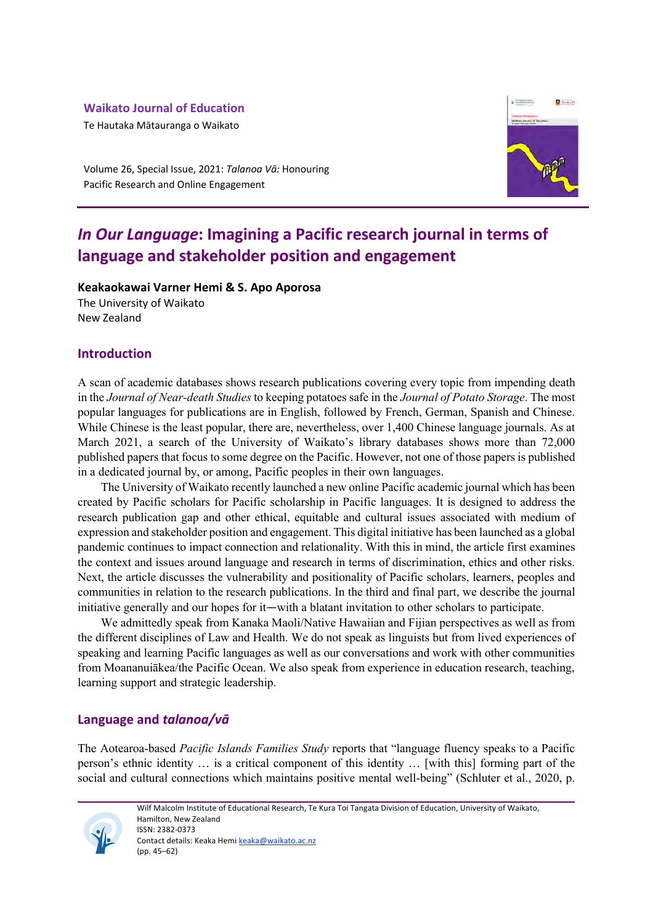# **Waikato Journal of Education**

Te Hautaka Mātauranga o Waikato



Volume 26, Special Issue, 2021: *Talanoa Vā:* Honouring Pacific Research and Online Engagement

# *In Our Language***: Imagining a Pacific research journal in terms of language and stakeholder position and engagement**

**Keakaokawai Varner Hemi & S. Apo Aporosa** The University of Waikato

New Zealand

# **Introduction**

A scan of academic databases shows research publications covering every topic from impending death in the *Journal of Near-death Studies* to keeping potatoes safe in the *Journal of Potato Storage*. The most popular languages for publications are in English, followed by French, German, Spanish and Chinese. While Chinese is the least popular, there are, nevertheless, over 1,400 Chinese language journals. As at March 2021, a search of the University of Waikato's library databases shows more than 72,000 published papers that focus to some degree on the Pacific. However, not one of those papers is published in a dedicated journal by, or among, Pacific peoples in their own languages.

The University of Waikato recently launched a new online Pacific academic journal which has been created by Pacific scholars for Pacific scholarship in Pacific languages. It is designed to address the research publication gap and other ethical, equitable and cultural issues associated with medium of expression and stakeholder position and engagement. This digital initiative has been launched as a global pandemic continues to impact connection and relationality. With this in mind, the article first examines the context and issues around language and research in terms of discrimination, ethics and other risks. Next, the article discusses the vulnerability and positionality of Pacific scholars, learners, peoples and communities in relation to the research publications. In the third and final part, we describe the journal initiative generally and our hopes for it—with a blatant invitation to other scholars to participate.

We admittedly speak from Kanaka Maoli/Native Hawaiian and Fijian perspectives as well as from the different disciplines of Law and Health. We do not speak as linguists but from lived experiences of speaking and learning Pacific languages as well as our conversations and work with other communities from Moananuiākea/the Pacific Ocean. We also speak from experience in education research, teaching, learning support and strategic leadership.

# **Language and** *talanoa/vā*

The Aotearoa-based *Pacific Islands Families Study* reports that "language fluency speaks to a Pacific person's ethnic identity … is a critical component of this identity … [with this] forming part of the social and cultural connections which maintains positive mental well-being" (Schluter et al., 2020, p.

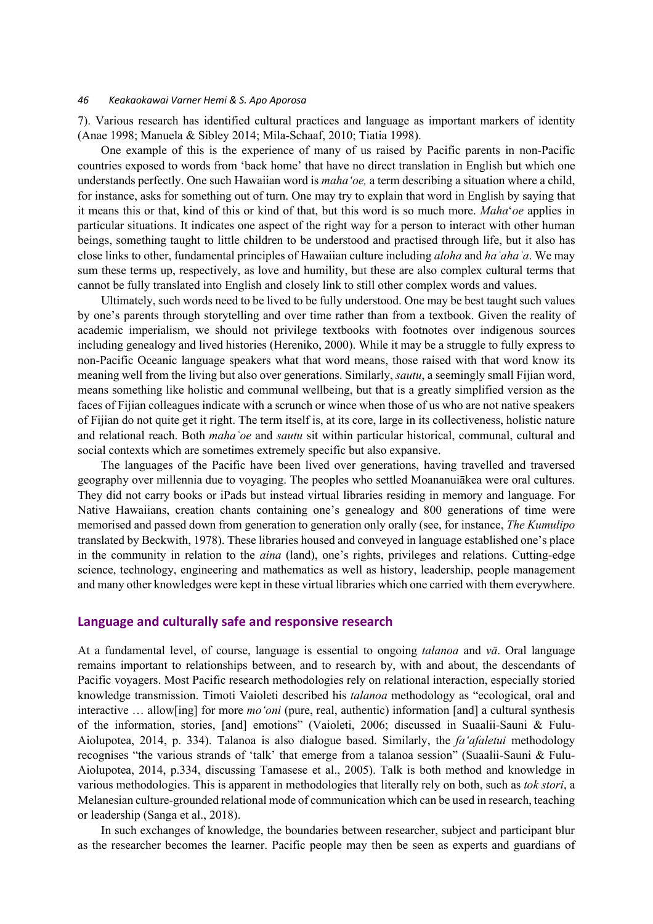7). Various research has identified cultural practices and language as important markers of identity (Anae 1998; Manuela & Sibley 2014; Mila-Schaaf, 2010; Tiatia 1998).

One example of this is the experience of many of us raised by Pacific parents in non-Pacific countries exposed to words from 'back home' that have no direct translation in English but which one understands perfectly. One such Hawaiian word is *mahaʻoe,* a term describing a situation where a child, for instance, asks for something out of turn. One may try to explain that word in English by saying that it means this or that, kind of this or kind of that, but this word is so much more. *Maha*'*oe* applies in particular situations. It indicates one aspect of the right way for a person to interact with other human beings, something taught to little children to be understood and practised through life, but it also has close links to other, fundamental principles of Hawaiian culture including *aloha* and *haʿahaʿa*. We may sum these terms up, respectively, as love and humility, but these are also complex cultural terms that cannot be fully translated into English and closely link to still other complex words and values.

Ultimately, such words need to be lived to be fully understood. One may be best taught such values by one's parents through storytelling and over time rather than from a textbook. Given the reality of academic imperialism, we should not privilege textbooks with footnotes over indigenous sources including genealogy and lived histories (Hereniko, 2000). While it may be a struggle to fully express to non-Pacific Oceanic language speakers what that word means, those raised with that word know its meaning well from the living but also over generations. Similarly, *sautu*, a seemingly small Fijian word, means something like holistic and communal wellbeing, but that is a greatly simplified version as the faces of Fijian colleagues indicate with a scrunch or wince when those of us who are not native speakers of Fijian do not quite get it right. The term itself is, at its core, large in its collectiveness, holistic nature and relational reach. Both *mahaʿoe* and *sautu* sit within particular historical, communal, cultural and social contexts which are sometimes extremely specific but also expansive.

The languages of the Pacific have been lived over generations, having travelled and traversed geography over millennia due to voyaging. The peoples who settled Moananuiākea were oral cultures. They did not carry books or iPads but instead virtual libraries residing in memory and language. For Native Hawaiians, creation chants containing one's genealogy and 800 generations of time were memorised and passed down from generation to generation only orally (see, for instance, *The Kumulipo* translated by Beckwith, 1978). These libraries housed and conveyed in language established one's place in the community in relation to the *aina* (land), one's rights, privileges and relations. Cutting-edge science, technology, engineering and mathematics as well as history, leadership, people management and many other knowledges were kept in these virtual libraries which one carried with them everywhere.

## **Language and culturally safe and responsive research**

At a fundamental level, of course, language is essential to ongoing *talanoa* and *vā*. Oral language remains important to relationships between, and to research by, with and about, the descendants of Pacific voyagers. Most Pacific research methodologies rely on relational interaction, especially storied knowledge transmission. Timoti Vaioleti described his *talanoa* methodology as "ecological, oral and interactive … allow[ing] for more *moʻoni* (pure, real, authentic) information [and] a cultural synthesis of the information, stories, [and] emotions" (Vaioleti, 2006; discussed in Suaalii-Sauni & Fulu-Aiolupotea, 2014, p. 334). Talanoa is also dialogue based. Similarly, the *faʻafaletui* methodology recognises "the various strands of 'talk' that emerge from a talanoa session" (Suaalii-Sauni & Fulu-Aiolupotea, 2014, p.334, discussing Tamasese et al., 2005). Talk is both method and knowledge in various methodologies. This is apparent in methodologies that literally rely on both, such as *tok stori*, a Melanesian culture-grounded relational mode of communication which can be used in research, teaching or leadership (Sanga et al., 2018).

In such exchanges of knowledge, the boundaries between researcher, subject and participant blur as the researcher becomes the learner. Pacific people may then be seen as experts and guardians of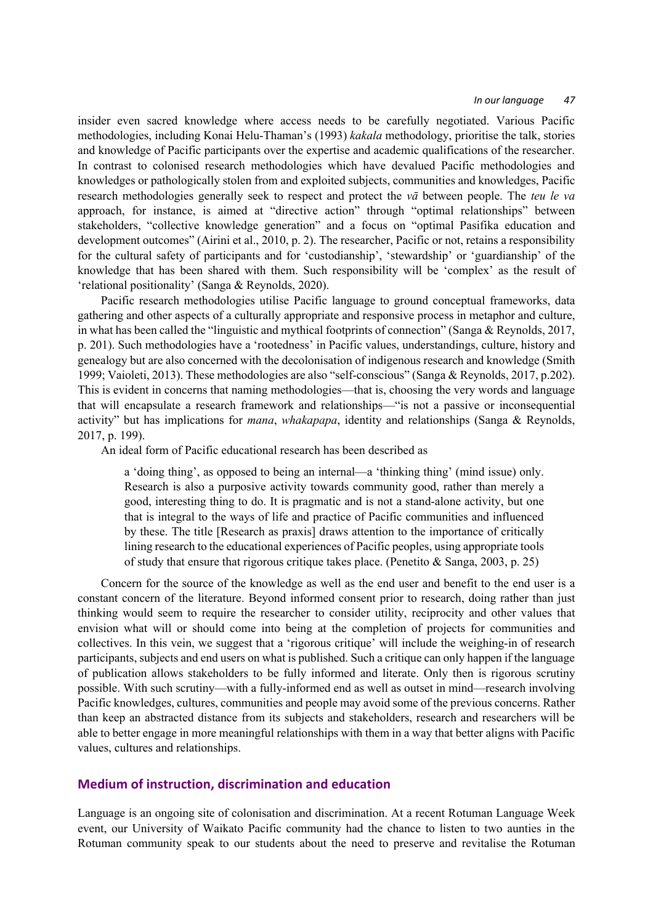insider even sacred knowledge where access needs to be carefully negotiated. Various Pacific methodologies, including Konai Helu-Thaman's (1993) *kakala* methodology, prioritise the talk, stories and knowledge of Pacific participants over the expertise and academic qualifications of the researcher. In contrast to colonised research methodologies which have devalued Pacific methodologies and knowledges or pathologically stolen from and exploited subjects, communities and knowledges, Pacific research methodologies generally seek to respect and protect the *vā* between people. The *teu le va*  approach, for instance, is aimed at "directive action" through "optimal relationships" between stakeholders, "collective knowledge generation" and a focus on "optimal Pasifika education and development outcomes" (Airini et al., 2010, p. 2). The researcher, Pacific or not, retains a responsibility for the cultural safety of participants and for 'custodianship', 'stewardship' or 'guardianship' of the knowledge that has been shared with them. Such responsibility will be 'complex' as the result of 'relational positionality' (Sanga & Reynolds, 2020).

Pacific research methodologies utilise Pacific language to ground conceptual frameworks, data gathering and other aspects of a culturally appropriate and responsive process in metaphor and culture, in what has been called the "linguistic and mythical footprints of connection" (Sanga & Reynolds, 2017, p. 201). Such methodologies have a 'rootedness' in Pacific values, understandings, culture, history and genealogy but are also concerned with the decolonisation of indigenous research and knowledge (Smith 1999; Vaioleti, 2013). These methodologies are also "self-conscious" (Sanga & Reynolds, 2017, p.202). This is evident in concerns that naming methodologies—that is, choosing the very words and language that will encapsulate a research framework and relationships—"is not a passive or inconsequential activity" but has implications for *mana*, *whakapapa*, identity and relationships (Sanga & Reynolds, 2017, p. 199).

An ideal form of Pacific educational research has been described as

a 'doing thing', as opposed to being an internal—a 'thinking thing' (mind issue) only. Research is also a purposive activity towards community good, rather than merely a good, interesting thing to do. It is pragmatic and is not a stand-alone activity, but one that is integral to the ways of life and practice of Pacific communities and influenced by these. The title [Research as praxis] draws attention to the importance of critically lining research to the educational experiences of Pacific peoples, using appropriate tools of study that ensure that rigorous critique takes place. (Penetito & Sanga, 2003, p. 25)

Concern for the source of the knowledge as well as the end user and benefit to the end user is a constant concern of the literature. Beyond informed consent prior to research, doing rather than just thinking would seem to require the researcher to consider utility, reciprocity and other values that envision what will or should come into being at the completion of projects for communities and collectives. In this vein, we suggest that a 'rigorous critique' will include the weighing-in of research participants, subjects and end users on what is published. Such a critique can only happen if the language of publication allows stakeholders to be fully informed and literate. Only then is rigorous scrutiny possible. With such scrutiny—with a fully-informed end as well as outset in mind—research involving Pacific knowledges, cultures, communities and people may avoid some of the previous concerns. Rather than keep an abstracted distance from its subjects and stakeholders, research and researchers will be able to better engage in more meaningful relationships with them in a way that better aligns with Pacific values, cultures and relationships.

## **Medium of instruction, discrimination and education**

Language is an ongoing site of colonisation and discrimination. At a recent Rotuman Language Week event, our University of Waikato Pacific community had the chance to listen to two aunties in the Rotuman community speak to our students about the need to preserve and revitalise the Rotuman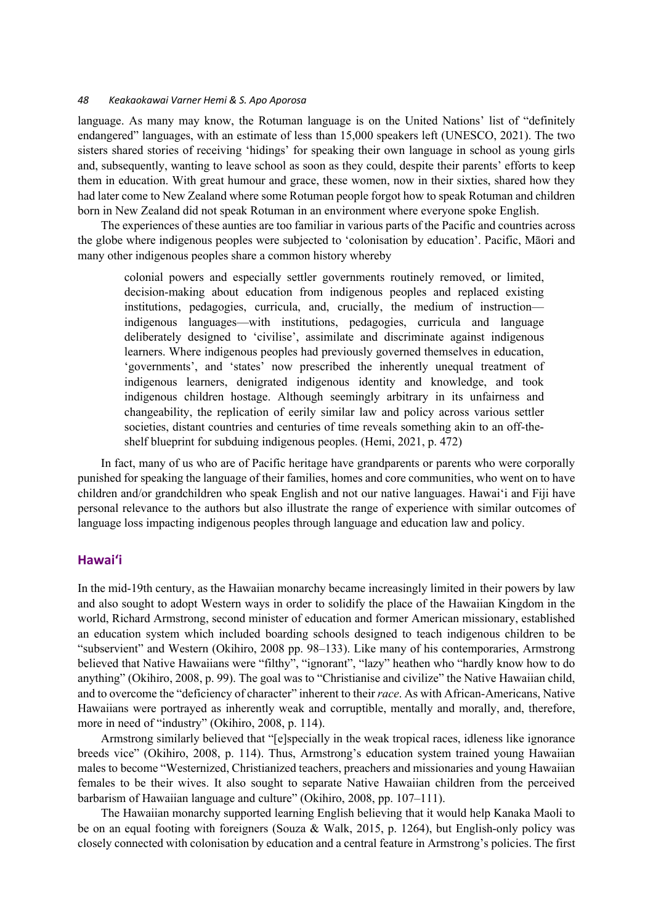language. As many may know, the Rotuman language is on the United Nations' list of "definitely endangered" languages, with an estimate of less than 15,000 speakers left (UNESCO, 2021). The two sisters shared stories of receiving 'hidings' for speaking their own language in school as young girls and, subsequently, wanting to leave school as soon as they could, despite their parents' efforts to keep them in education. With great humour and grace, these women, now in their sixties, shared how they had later come to New Zealand where some Rotuman people forgot how to speak Rotuman and children born in New Zealand did not speak Rotuman in an environment where everyone spoke English.

The experiences of these aunties are too familiar in various parts of the Pacific and countries across the globe where indigenous peoples were subjected to 'colonisation by education'. Pacific, Māori and many other indigenous peoples share a common history whereby

colonial powers and especially settler governments routinely removed, or limited, decision-making about education from indigenous peoples and replaced existing institutions, pedagogies, curricula, and, crucially, the medium of instruction indigenous languages—with institutions, pedagogies, curricula and language deliberately designed to 'civilise', assimilate and discriminate against indigenous learners. Where indigenous peoples had previously governed themselves in education, 'governments', and 'states' now prescribed the inherently unequal treatment of indigenous learners, denigrated indigenous identity and knowledge, and took indigenous children hostage. Although seemingly arbitrary in its unfairness and changeability, the replication of eerily similar law and policy across various settler societies, distant countries and centuries of time reveals something akin to an off-theshelf blueprint for subduing indigenous peoples. (Hemi, 2021, p. 472)

In fact, many of us who are of Pacific heritage have grandparents or parents who were corporally punished for speaking the language of their families, homes and core communities, who went on to have children and/or grandchildren who speak English and not our native languages. Hawaiʻi and Fiji have personal relevance to the authors but also illustrate the range of experience with similar outcomes of language loss impacting indigenous peoples through language and education law and policy.

## **Hawaiʻi**

In the mid-19th century, as the Hawaiian monarchy became increasingly limited in their powers by law and also sought to adopt Western ways in order to solidify the place of the Hawaiian Kingdom in the world, Richard Armstrong, second minister of education and former American missionary, established an education system which included boarding schools designed to teach indigenous children to be "subservient" and Western (Okihiro, 2008 pp. 98–133). Like many of his contemporaries, Armstrong believed that Native Hawaiians were "filthy", "ignorant", "lazy" heathen who "hardly know how to do anything" (Okihiro, 2008, p. 99). The goal was to "Christianise and civilize" the Native Hawaiian child, and to overcome the "deficiency of character" inherent to their *race*. As with African-Americans, Native Hawaiians were portrayed as inherently weak and corruptible, mentally and morally, and, therefore, more in need of "industry" (Okihiro, 2008, p. 114).

Armstrong similarly believed that "[e]specially in the weak tropical races, idleness like ignorance breeds vice" (Okihiro, 2008, p. 114). Thus, Armstrong's education system trained young Hawaiian males to become "Westernized, Christianized teachers, preachers and missionaries and young Hawaiian females to be their wives. It also sought to separate Native Hawaiian children from the perceived barbarism of Hawaiian language and culture" (Okihiro, 2008, pp. 107–111).

The Hawaiian monarchy supported learning English believing that it would help Kanaka Maoli to be on an equal footing with foreigners (Souza & Walk, 2015, p. 1264), but English-only policy was closely connected with colonisation by education and a central feature in Armstrong's policies. The first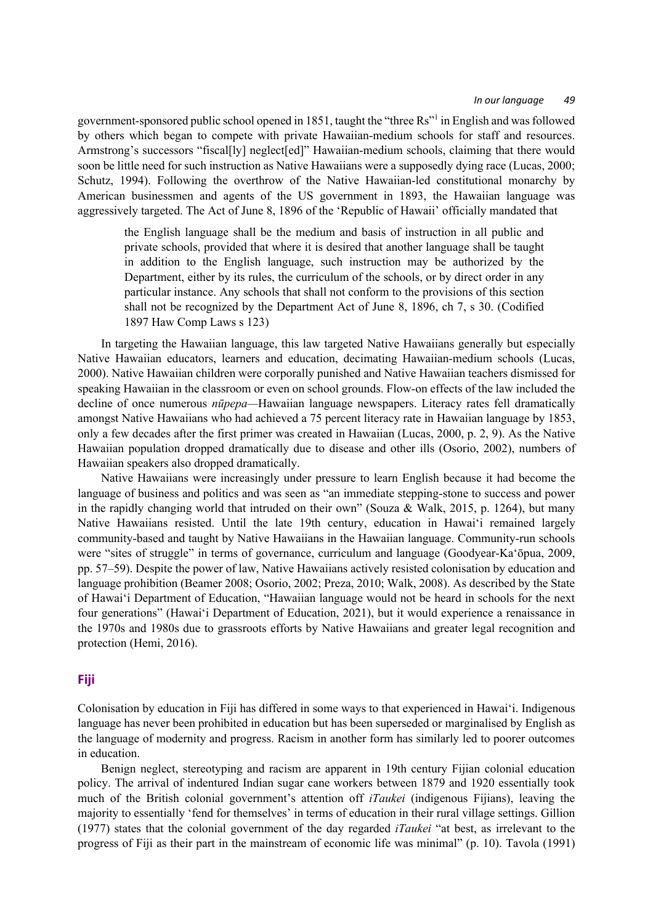government-sponsored public school opened in 1851, taught the "three Rs"1 in English and was followed by others which began to compete with private Hawaiian-medium schools for staff and resources. Armstrong's successors "fiscal[ly] neglect[ed]" Hawaiian-medium schools, claiming that there would soon be little need for such instruction as Native Hawaiians were a supposedly dying race (Lucas, 2000; Schutz, 1994). Following the overthrow of the Native Hawaiian-led constitutional monarchy by American businessmen and agents of the US government in 1893, the Hawaiian language was aggressively targeted. The Act of June 8, 1896 of the 'Republic of Hawaii' officially mandated that

the English language shall be the medium and basis of instruction in all public and private schools, provided that where it is desired that another language shall be taught in addition to the English language, such instruction may be authorized by the Department, either by its rules, the curriculum of the schools, or by direct order in any particular instance. Any schools that shall not conform to the provisions of this section shall not be recognized by the Department Act of June 8, 1896, ch 7, s 30. (Codified 1897 Haw Comp Laws s 123)

In targeting the Hawaiian language, this law targeted Native Hawaiians generally but especially Native Hawaiian educators, learners and education, decimating Hawaiian-medium schools (Lucas, 2000). Native Hawaiian children were corporally punished and Native Hawaiian teachers dismissed for speaking Hawaiian in the classroom or even on school grounds. Flow-on effects of the law included the decline of once numerous *nūpepa—*Hawaiian language newspapers. Literacy rates fell dramatically amongst Native Hawaiians who had achieved a 75 percent literacy rate in Hawaiian language by 1853, only a few decades after the first primer was created in Hawaiian (Lucas, 2000, p. 2, 9). As the Native Hawaiian population dropped dramatically due to disease and other ills (Osorio, 2002), numbers of Hawaiian speakers also dropped dramatically.

Native Hawaiians were increasingly under pressure to learn English because it had become the language of business and politics and was seen as "an immediate stepping-stone to success and power in the rapidly changing world that intruded on their own" (Souza & Walk, 2015, p. 1264), but many Native Hawaiians resisted. Until the late 19th century, education in Hawaiʻi remained largely community-based and taught by Native Hawaiians in the Hawaiian language. Community-run schools were "sites of struggle" in terms of governance, curriculum and language (Goodyear-Kaʻōpua, 2009, pp. 57–59). Despite the power of law, Native Hawaiians actively resisted colonisation by education and language prohibition (Beamer 2008; Osorio, 2002; Preza, 2010; Walk, 2008). As described by the State of Hawaiʻi Department of Education, "Hawaiian language would not be heard in schools for the next four generations" (Hawaiʻi Department of Education, 2021), but it would experience a renaissance in the 1970s and 1980s due to grassroots efforts by Native Hawaiians and greater legal recognition and protection (Hemi, 2016).

# **Fiji**

Colonisation by education in Fiji has differed in some ways to that experienced in Hawaiʻi. Indigenous language has never been prohibited in education but has been superseded or marginalised by English as the language of modernity and progress. Racism in another form has similarly led to poorer outcomes in education.

Benign neglect, stereotyping and racism are apparent in 19th century Fijian colonial education policy. The arrival of indentured Indian sugar cane workers between 1879 and 1920 essentially took much of the British colonial government's attention off *iTaukei* (indigenous Fijians), leaving the majority to essentially 'fend for themselves' in terms of education in their rural village settings. Gillion (1977) states that the colonial government of the day regarded *iTaukei* "at best, as irrelevant to the progress of Fiji as their part in the mainstream of economic life was minimal" (p. 10). Tavola (1991)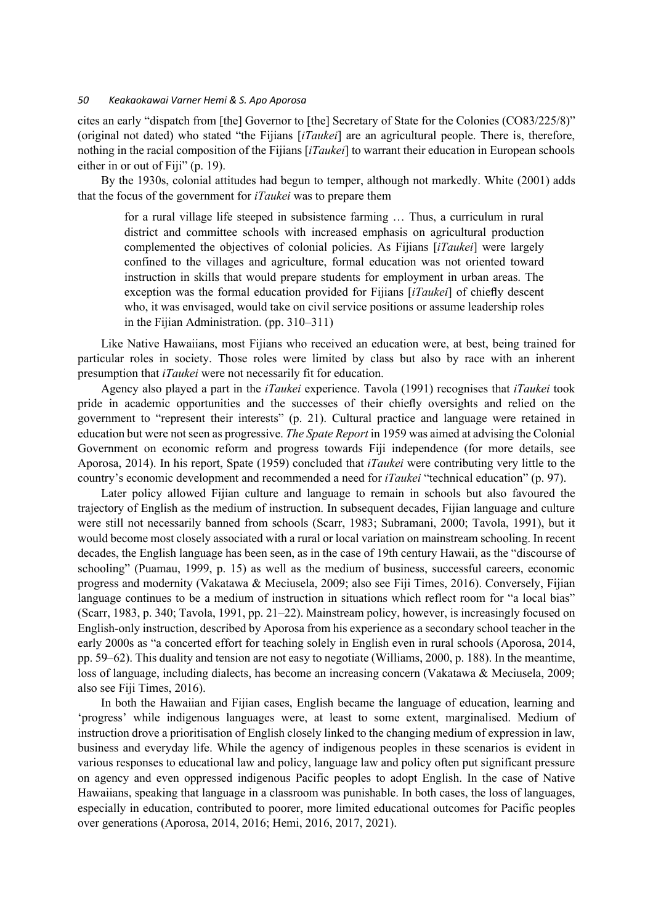cites an early "dispatch from [the] Governor to [the] Secretary of State for the Colonies (CO83/225/8)" (original not dated) who stated "the Fijians [*iTaukei*] are an agricultural people. There is, therefore, nothing in the racial composition of the Fijians [*iTaukei*] to warrant their education in European schools either in or out of Fiji" (p. 19).

By the 1930s, colonial attitudes had begun to temper, although not markedly. White (2001) adds that the focus of the government for *iTaukei* was to prepare them

for a rural village life steeped in subsistence farming … Thus, a curriculum in rural district and committee schools with increased emphasis on agricultural production complemented the objectives of colonial policies. As Fijians [*iTaukei*] were largely confined to the villages and agriculture, formal education was not oriented toward instruction in skills that would prepare students for employment in urban areas. The exception was the formal education provided for Fijians [*iTaukei*] of chiefly descent who, it was envisaged, would take on civil service positions or assume leadership roles in the Fijian Administration. (pp. 310–311)

Like Native Hawaiians, most Fijians who received an education were, at best, being trained for particular roles in society. Those roles were limited by class but also by race with an inherent presumption that *iTaukei* were not necessarily fit for education.

Agency also played a part in the *iTaukei* experience. Tavola (1991) recognises that *iTaukei* took pride in academic opportunities and the successes of their chiefly oversights and relied on the government to "represent their interests" (p. 21). Cultural practice and language were retained in education but were not seen as progressive. *The Spate Report* in 1959 was aimed at advising the Colonial Government on economic reform and progress towards Fiji independence (for more details, see Aporosa, 2014). In his report, Spate (1959) concluded that *iTaukei* were contributing very little to the country's economic development and recommended a need for *iTaukei* "technical education" (p. 97).

Later policy allowed Fijian culture and language to remain in schools but also favoured the trajectory of English as the medium of instruction. In subsequent decades, Fijian language and culture were still not necessarily banned from schools (Scarr, 1983; Subramani, 2000; Tavola, 1991), but it would become most closely associated with a rural or local variation on mainstream schooling. In recent decades, the English language has been seen, as in the case of 19th century Hawaii, as the "discourse of schooling" (Puamau, 1999, p. 15) as well as the medium of business, successful careers, economic progress and modernity (Vakatawa & Meciusela, 2009; also see Fiji Times, 2016). Conversely, Fijian language continues to be a medium of instruction in situations which reflect room for "a local bias" (Scarr, 1983, p. 340; Tavola, 1991, pp. 21–22). Mainstream policy, however, is increasingly focused on English-only instruction, described by Aporosa from his experience as a secondary school teacher in the early 2000s as "a concerted effort for teaching solely in English even in rural schools (Aporosa, 2014, pp. 59–62). This duality and tension are not easy to negotiate (Williams, 2000, p. 188). In the meantime, loss of language, including dialects, has become an increasing concern (Vakatawa & Meciusela, 2009; also see Fiji Times, 2016).

In both the Hawaiian and Fijian cases, English became the language of education, learning and 'progress' while indigenous languages were, at least to some extent, marginalised. Medium of instruction drove a prioritisation of English closely linked to the changing medium of expression in law, business and everyday life. While the agency of indigenous peoples in these scenarios is evident in various responses to educational law and policy, language law and policy often put significant pressure on agency and even oppressed indigenous Pacific peoples to adopt English. In the case of Native Hawaiians, speaking that language in a classroom was punishable. In both cases, the loss of languages, especially in education, contributed to poorer, more limited educational outcomes for Pacific peoples over generations (Aporosa, 2014, 2016; Hemi, 2016, 2017, 2021).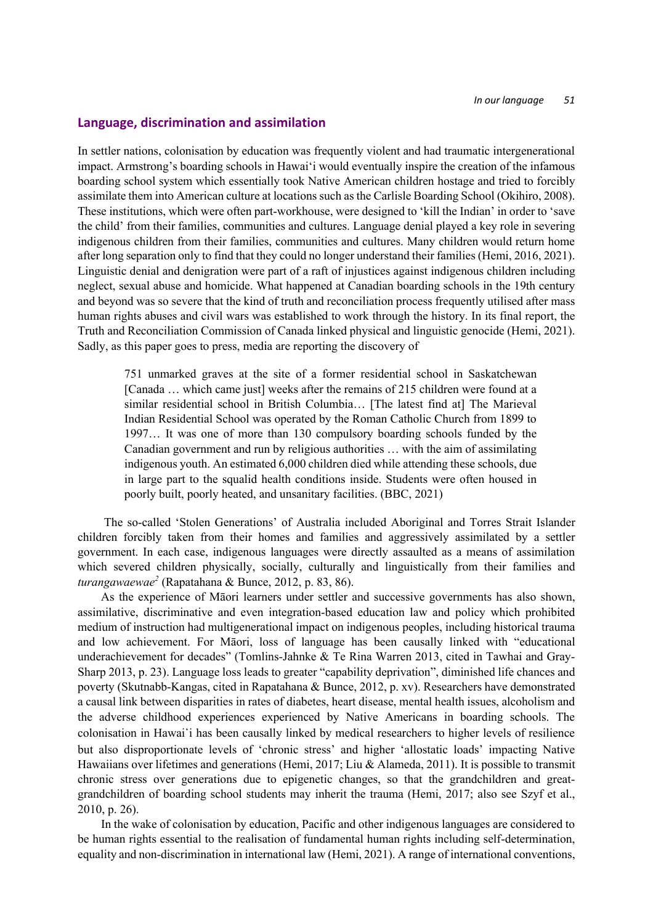### **Language, discrimination and assimilation**

In settler nations, colonisation by education was frequently violent and had traumatic intergenerational impact. Armstrong's boarding schools in Hawaiʻi would eventually inspire the creation of the infamous boarding school system which essentially took Native American children hostage and tried to forcibly assimilate them into American culture at locations such as the Carlisle Boarding School (Okihiro, 2008). These institutions, which were often part-workhouse, were designed to 'kill the Indian' in order to 'save the child' from their families, communities and cultures. Language denial played a key role in severing indigenous children from their families, communities and cultures. Many children would return home after long separation only to find that they could no longer understand their families (Hemi, 2016, 2021). Linguistic denial and denigration were part of a raft of injustices against indigenous children including neglect, sexual abuse and homicide. What happened at Canadian boarding schools in the 19th century and beyond was so severe that the kind of truth and reconciliation process frequently utilised after mass human rights abuses and civil wars was established to work through the history. In its final report, the Truth and Reconciliation Commission of Canada linked physical and linguistic genocide (Hemi, 2021). Sadly, as this paper goes to press, media are reporting the discovery of

751 unmarked graves at the site of a former residential school in Saskatchewan [Canada ... which came just] weeks after the remains of 215 children were found at a similar residential school in British Columbia… [The latest find at] The Marieval Indian Residential School was operated by the Roman Catholic Church from 1899 to 1997… It was one of more than 130 compulsory boarding schools funded by the Canadian government and run by religious authorities … with the aim of assimilating indigenous youth. An estimated 6,000 children died while attending these schools, due in large part to the squalid health conditions inside. Students were often housed in poorly built, poorly heated, and unsanitary facilities. (BBC, 2021)

The so-called 'Stolen Generations' of Australia included Aboriginal and Torres Strait Islander children forcibly taken from their homes and families and aggressively assimilated by a settler government. In each case, indigenous languages were directly assaulted as a means of assimilation which severed children physically, socially, culturally and linguistically from their families and *turangawaewae<sup>2</sup>* (Rapatahana & Bunce, 2012, p. 83, 86).

As the experience of Māori learners under settler and successive governments has also shown, assimilative, discriminative and even integration-based education law and policy which prohibited medium of instruction had multigenerational impact on indigenous peoples, including historical trauma and low achievement. For Māori, loss of language has been causally linked with "educational underachievement for decades" (Tomlins-Jahnke & Te Rina Warren 2013, cited in Tawhai and Gray-Sharp 2013, p. 23). Language loss leads to greater "capability deprivation", diminished life chances and poverty (Skutnabb-Kangas, cited in Rapatahana & Bunce, 2012, p. xv). Researchers have demonstrated a causal link between disparities in rates of diabetes, heart disease, mental health issues, alcoholism and the adverse childhood experiences experienced by Native Americans in boarding schools. The colonisation in Hawai̒i has been causally linked by medical researchers to higher levels of resilience but also disproportionate levels of 'chronic stress' and higher 'allostatic loads' impacting Native Hawaiians over lifetimes and generations (Hemi, 2017; Liu & Alameda, 2011). It is possible to transmit chronic stress over generations due to epigenetic changes, so that the grandchildren and greatgrandchildren of boarding school students may inherit the trauma (Hemi, 2017; also see Szyf et al., 2010, p. 26).

In the wake of colonisation by education, Pacific and other indigenous languages are considered to be human rights essential to the realisation of fundamental human rights including self-determination, equality and non-discrimination in international law (Hemi, 2021). A range of international conventions,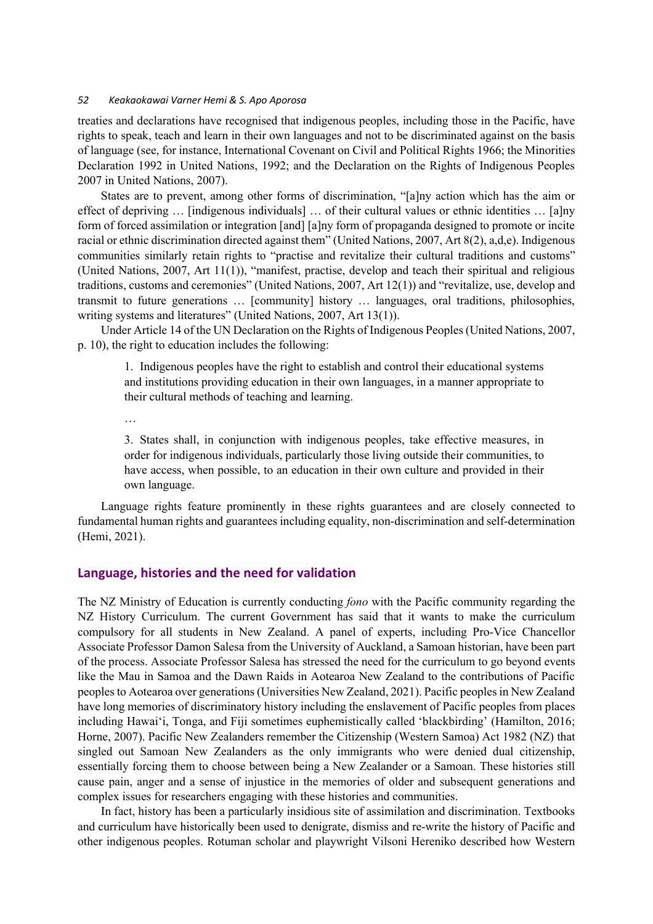treaties and declarations have recognised that indigenous peoples, including those in the Pacific, have rights to speak, teach and learn in their own languages and not to be discriminated against on the basis of language (see, for instance, International Covenant on Civil and Political Rights 1966; the Minorities Declaration 1992 in United Nations, 1992; and the Declaration on the Rights of Indigenous Peoples 2007 in United Nations, 2007).

States are to prevent, among other forms of discrimination, "[a]ny action which has the aim or effect of depriving … [indigenous individuals] … of their cultural values or ethnic identities … [a]ny form of forced assimilation or integration [and] [a]ny form of propaganda designed to promote or incite racial or ethnic discrimination directed against them" (United Nations, 2007, Art 8(2), a,d,e). Indigenous communities similarly retain rights to "practise and revitalize their cultural traditions and customs" (United Nations, 2007, Art 11(1)), "manifest, practise, develop and teach their spiritual and religious traditions, customs and ceremonies" (United Nations, 2007, Art 12(1)) and "revitalize, use, develop and transmit to future generations … [community] history … languages, oral traditions, philosophies, writing systems and literatures" (United Nations, 2007, Art 13(1)).

Under Article 14 of the UN Declaration on the Rights of Indigenous Peoples (United Nations, 2007, p. 10), the right to education includes the following:

1. Indigenous peoples have the right to establish and control their educational systems and institutions providing education in their own languages, in a manner appropriate to their cultural methods of teaching and learning.

…

3. States shall, in conjunction with indigenous peoples, take effective measures, in order for indigenous individuals, particularly those living outside their communities, to have access, when possible, to an education in their own culture and provided in their own language.

Language rights feature prominently in these rights guarantees and are closely connected to fundamental human rights and guarantees including equality, non-discrimination and self-determination (Hemi, 2021).

# **Language, histories and the need for validation**

The NZ Ministry of Education is currently conducting *fono* with the Pacific community regarding the NZ History Curriculum. The current Government has said that it wants to make the curriculum compulsory for all students in New Zealand. A panel of experts, including Pro-Vice Chancellor Associate Professor Damon Salesa from the University of Auckland, a Samoan historian, have been part of the process. Associate Professor Salesa has stressed the need for the curriculum to go beyond events like the Mau in Samoa and the Dawn Raids in Aotearoa New Zealand to the contributions of Pacific peoples to Aotearoa over generations (Universities New Zealand, 2021). Pacific peoples in New Zealand have long memories of discriminatory history including the enslavement of Pacific peoples from places including Hawaiʻi, Tonga, and Fiji sometimes euphemistically called 'blackbirding' (Hamilton, 2016; Horne, 2007). Pacific New Zealanders remember the Citizenship (Western Samoa) Act 1982 (NZ) that singled out Samoan New Zealanders as the only immigrants who were denied dual citizenship, essentially forcing them to choose between being a New Zealander or a Samoan. These histories still cause pain, anger and a sense of injustice in the memories of older and subsequent generations and complex issues for researchers engaging with these histories and communities.

In fact, history has been a particularly insidious site of assimilation and discrimination. Textbooks and curriculum have historically been used to denigrate, dismiss and re-write the history of Pacific and other indigenous peoples. Rotuman scholar and playwright Vilsoni Hereniko described how Western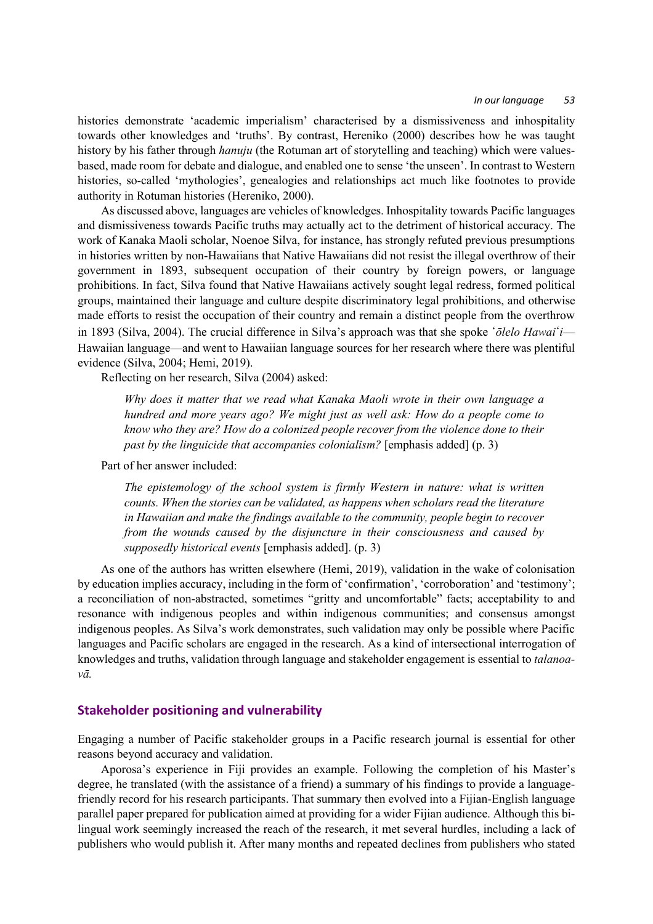#### *In our language 53*

histories demonstrate 'academic imperialism' characterised by a dismissiveness and inhospitality towards other knowledges and 'truths'. By contrast, Hereniko (2000) describes how he was taught history by his father through *hanuju* (the Rotuman art of storytelling and teaching) which were valuesbased, made room for debate and dialogue, and enabled one to sense 'the unseen'. In contrast to Western histories, so-called 'mythologies', genealogies and relationships act much like footnotes to provide authority in Rotuman histories (Hereniko, 2000).

As discussed above, languages are vehicles of knowledges. Inhospitality towards Pacific languages and dismissiveness towards Pacific truths may actually act to the detriment of historical accuracy. The work of Kanaka Maoli scholar, Noenoe Silva, for instance, has strongly refuted previous presumptions in histories written by non-Hawaiians that Native Hawaiians did not resist the illegal overthrow of their government in 1893, subsequent occupation of their country by foreign powers, or language prohibitions. In fact, Silva found that Native Hawaiians actively sought legal redress, formed political groups, maintained their language and culture despite discriminatory legal prohibitions, and otherwise made efforts to resist the occupation of their country and remain a distinct people from the overthrow in 1893 (Silva, 2004). The crucial difference in Silva's approach was that she spoke *'ōlelo Hawai'i*— Hawaiian language—and went to Hawaiian language sources for her research where there was plentiful evidence (Silva, 2004; Hemi, 2019).

Reflecting on her research, Silva (2004) asked:

*Why does it matter that we read what Kanaka Maoli wrote in their own language a hundred and more years ago? We might just as well ask: How do a people come to know who they are? How do a colonized people recover from the violence done to their past by the linguicide that accompanies colonialism?* [emphasis added] (p. 3)

Part of her answer included:

*The epistemology of the school system is firmly Western in nature: what is written counts. When the stories can be validated, as happens when scholars read the literature in Hawaiian and make the findings available to the community, people begin to recover from the wounds caused by the disjuncture in their consciousness and caused by supposedly historical events* [emphasis added]. (p. 3)

As one of the authors has written elsewhere (Hemi, 2019), validation in the wake of colonisation by education implies accuracy, including in the form of 'confirmation', 'corroboration' and 'testimony'; a reconciliation of non-abstracted, sometimes "gritty and uncomfortable" facts; acceptability to and resonance with indigenous peoples and within indigenous communities; and consensus amongst indigenous peoples. As Silva's work demonstrates, such validation may only be possible where Pacific languages and Pacific scholars are engaged in the research. As a kind of intersectional interrogation of knowledges and truths, validation through language and stakeholder engagement is essential to *talanoavā.*

### **Stakeholder positioning and vulnerability**

Engaging a number of Pacific stakeholder groups in a Pacific research journal is essential for other reasons beyond accuracy and validation.

Aporosa's experience in Fiji provides an example. Following the completion of his Master's degree, he translated (with the assistance of a friend) a summary of his findings to provide a languagefriendly record for his research participants. That summary then evolved into a Fijian-English language parallel paper prepared for publication aimed at providing for a wider Fijian audience. Although this bilingual work seemingly increased the reach of the research, it met several hurdles, including a lack of publishers who would publish it. After many months and repeated declines from publishers who stated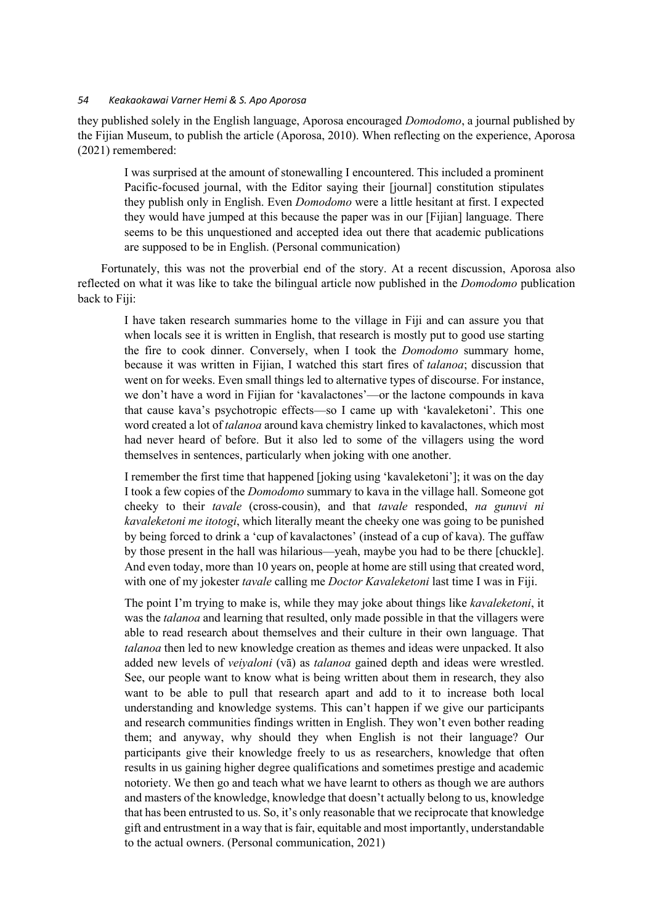they published solely in the English language, Aporosa encouraged *Domodomo*, a journal published by the Fijian Museum, to publish the article (Aporosa, 2010). When reflecting on the experience, Aporosa (2021) remembered:

I was surprised at the amount of stonewalling I encountered. This included a prominent Pacific-focused journal, with the Editor saying their [journal] constitution stipulates they publish only in English. Even *Domodomo* were a little hesitant at first. I expected they would have jumped at this because the paper was in our [Fijian] language. There seems to be this unquestioned and accepted idea out there that academic publications are supposed to be in English. (Personal communication)

Fortunately, this was not the proverbial end of the story. At a recent discussion, Aporosa also reflected on what it was like to take the bilingual article now published in the *Domodomo* publication back to Fiji:

I have taken research summaries home to the village in Fiji and can assure you that when locals see it is written in English, that research is mostly put to good use starting the fire to cook dinner. Conversely, when I took the *Domodomo* summary home, because it was written in Fijian, I watched this start fires of *talanoa*; discussion that went on for weeks. Even small things led to alternative types of discourse. For instance, we don't have a word in Fijian for 'kavalactones'—or the lactone compounds in kava that cause kava's psychotropic effects—so I came up with 'kavaleketoni'. This one word created a lot of *talanoa* around kava chemistry linked to kavalactones, which most had never heard of before. But it also led to some of the villagers using the word themselves in sentences, particularly when joking with one another.

I remember the first time that happened [joking using 'kavaleketoni']; it was on the day I took a few copies of the *Domodomo* summary to kava in the village hall. Someone got cheeky to their *tavale* (cross-cousin), and that *tavale* responded, *na gunuvi ni kavaleketoni me itotogi*, which literally meant the cheeky one was going to be punished by being forced to drink a 'cup of kavalactones' (instead of a cup of kava). The guffaw by those present in the hall was hilarious—yeah, maybe you had to be there [chuckle]. And even today, more than 10 years on, people at home are still using that created word, with one of my jokester *tavale* calling me *Doctor Kavaleketoni* last time I was in Fiji.

The point I'm trying to make is, while they may joke about things like *kavaleketoni*, it was the *talanoa* and learning that resulted, only made possible in that the villagers were able to read research about themselves and their culture in their own language. That *talanoa* then led to new knowledge creation as themes and ideas were unpacked. It also added new levels of *veiyaloni* (vā) as *talanoa* gained depth and ideas were wrestled. See, our people want to know what is being written about them in research, they also want to be able to pull that research apart and add to it to increase both local understanding and knowledge systems. This can't happen if we give our participants and research communities findings written in English. They won't even bother reading them; and anyway, why should they when English is not their language? Our participants give their knowledge freely to us as researchers, knowledge that often results in us gaining higher degree qualifications and sometimes prestige and academic notoriety. We then go and teach what we have learnt to others as though we are authors and masters of the knowledge, knowledge that doesn't actually belong to us, knowledge that has been entrusted to us. So, it's only reasonable that we reciprocate that knowledge gift and entrustment in a way that is fair, equitable and most importantly, understandable to the actual owners. (Personal communication, 2021)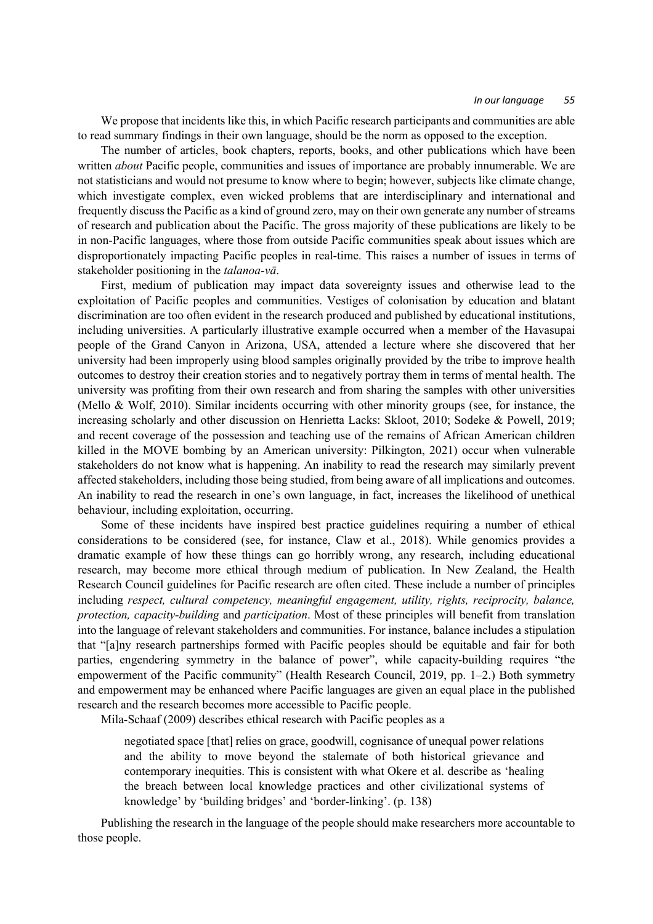We propose that incidents like this, in which Pacific research participants and communities are able to read summary findings in their own language, should be the norm as opposed to the exception.

The number of articles, book chapters, reports, books, and other publications which have been written *about* Pacific people, communities and issues of importance are probably innumerable. We are not statisticians and would not presume to know where to begin; however, subjects like climate change, which investigate complex, even wicked problems that are interdisciplinary and international and frequently discuss the Pacific as a kind of ground zero, may on their own generate any number of streams of research and publication about the Pacific. The gross majority of these publications are likely to be in non-Pacific languages, where those from outside Pacific communities speak about issues which are disproportionately impacting Pacific peoples in real-time. This raises a number of issues in terms of stakeholder positioning in the *talanoa-vā*.

First, medium of publication may impact data sovereignty issues and otherwise lead to the exploitation of Pacific peoples and communities. Vestiges of colonisation by education and blatant discrimination are too often evident in the research produced and published by educational institutions, including universities. A particularly illustrative example occurred when a member of the Havasupai people of the Grand Canyon in Arizona, USA, attended a lecture where she discovered that her university had been improperly using blood samples originally provided by the tribe to improve health outcomes to destroy their creation stories and to negatively portray them in terms of mental health. The university was profiting from their own research and from sharing the samples with other universities (Mello & Wolf, 2010). Similar incidents occurring with other minority groups (see, for instance, the increasing scholarly and other discussion on Henrietta Lacks: Skloot, 2010; Sodeke & Powell, 2019; and recent coverage of the possession and teaching use of the remains of African American children killed in the MOVE bombing by an American university: Pilkington, 2021) occur when vulnerable stakeholders do not know what is happening. An inability to read the research may similarly prevent affected stakeholders, including those being studied, from being aware of all implications and outcomes. An inability to read the research in one's own language, in fact, increases the likelihood of unethical behaviour, including exploitation, occurring.

Some of these incidents have inspired best practice guidelines requiring a number of ethical considerations to be considered (see, for instance, Claw et al., 2018). While genomics provides a dramatic example of how these things can go horribly wrong, any research, including educational research, may become more ethical through medium of publication. In New Zealand, the Health Research Council guidelines for Pacific research are often cited. These include a number of principles including *respect, cultural competency, meaningful engagement, utility, rights, reciprocity, balance, protection, capacity-building* and *participation*. Most of these principles will benefit from translation into the language of relevant stakeholders and communities. For instance, balance includes a stipulation that "[a]ny research partnerships formed with Pacific peoples should be equitable and fair for both parties, engendering symmetry in the balance of power", while capacity-building requires "the empowerment of the Pacific community" (Health Research Council, 2019, pp. 1–2.) Both symmetry and empowerment may be enhanced where Pacific languages are given an equal place in the published research and the research becomes more accessible to Pacific people.

Mila-Schaaf (2009) describes ethical research with Pacific peoples as a

negotiated space [that] relies on grace, goodwill, cognisance of unequal power relations and the ability to move beyond the stalemate of both historical grievance and contemporary inequities. This is consistent with what Okere et al. describe as 'healing the breach between local knowledge practices and other civilizational systems of knowledge' by 'building bridges' and 'border-linking'. (p. 138)

Publishing the research in the language of the people should make researchers more accountable to those people.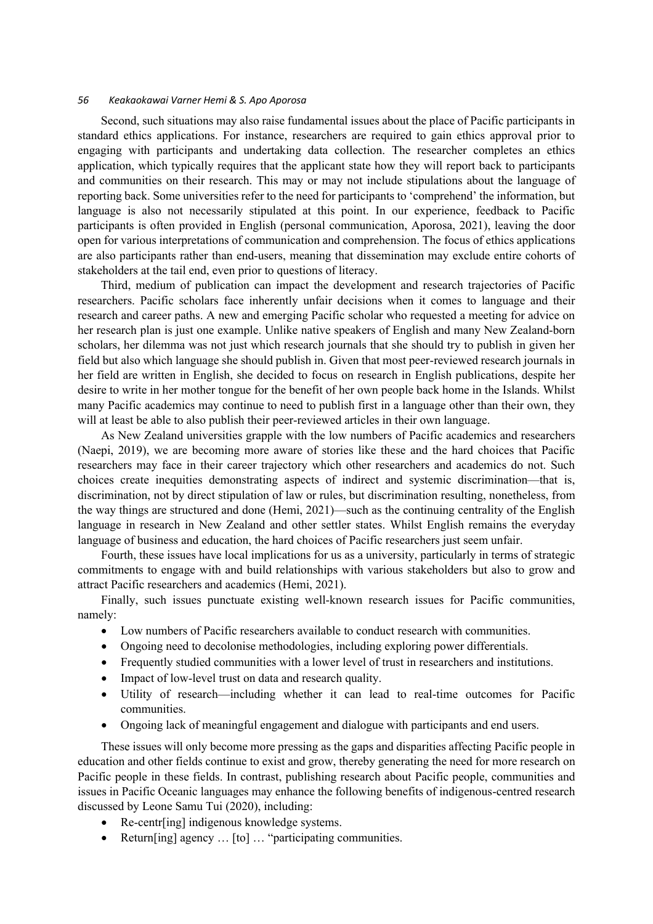Second, such situations may also raise fundamental issues about the place of Pacific participants in standard ethics applications. For instance, researchers are required to gain ethics approval prior to engaging with participants and undertaking data collection. The researcher completes an ethics application, which typically requires that the applicant state how they will report back to participants and communities on their research. This may or may not include stipulations about the language of reporting back. Some universities refer to the need for participants to 'comprehend' the information, but language is also not necessarily stipulated at this point. In our experience, feedback to Pacific participants is often provided in English (personal communication, Aporosa, 2021), leaving the door open for various interpretations of communication and comprehension. The focus of ethics applications are also participants rather than end-users, meaning that dissemination may exclude entire cohorts of stakeholders at the tail end, even prior to questions of literacy.

Third, medium of publication can impact the development and research trajectories of Pacific researchers. Pacific scholars face inherently unfair decisions when it comes to language and their research and career paths. A new and emerging Pacific scholar who requested a meeting for advice on her research plan is just one example. Unlike native speakers of English and many New Zealand-born scholars, her dilemma was not just which research journals that she should try to publish in given her field but also which language she should publish in. Given that most peer-reviewed research journals in her field are written in English, she decided to focus on research in English publications, despite her desire to write in her mother tongue for the benefit of her own people back home in the Islands. Whilst many Pacific academics may continue to need to publish first in a language other than their own, they will at least be able to also publish their peer-reviewed articles in their own language.

As New Zealand universities grapple with the low numbers of Pacific academics and researchers (Naepi, 2019), we are becoming more aware of stories like these and the hard choices that Pacific researchers may face in their career trajectory which other researchers and academics do not. Such choices create inequities demonstrating aspects of indirect and systemic discrimination—that is, discrimination, not by direct stipulation of law or rules, but discrimination resulting, nonetheless, from the way things are structured and done (Hemi, 2021)—such as the continuing centrality of the English language in research in New Zealand and other settler states. Whilst English remains the everyday language of business and education, the hard choices of Pacific researchers just seem unfair.

Fourth, these issues have local implications for us as a university, particularly in terms of strategic commitments to engage with and build relationships with various stakeholders but also to grow and attract Pacific researchers and academics (Hemi, 2021).

Finally, such issues punctuate existing well-known research issues for Pacific communities, namely:

- Low numbers of Pacific researchers available to conduct research with communities.
- Ongoing need to decolonise methodologies, including exploring power differentials.
- Frequently studied communities with a lower level of trust in researchers and institutions.
- Impact of low-level trust on data and research quality.
- Utility of research—including whether it can lead to real-time outcomes for Pacific communities.
- Ongoing lack of meaningful engagement and dialogue with participants and end users.

These issues will only become more pressing as the gaps and disparities affecting Pacific people in education and other fields continue to exist and grow, thereby generating the need for more research on Pacific people in these fields. In contrast, publishing research about Pacific people, communities and issues in Pacific Oceanic languages may enhance the following benefits of indigenous-centred research discussed by Leone Samu Tui (2020), including:

- Re-centr[ing] indigenous knowledge systems.
- Return[ing] agency ... [to] ... "participating communities.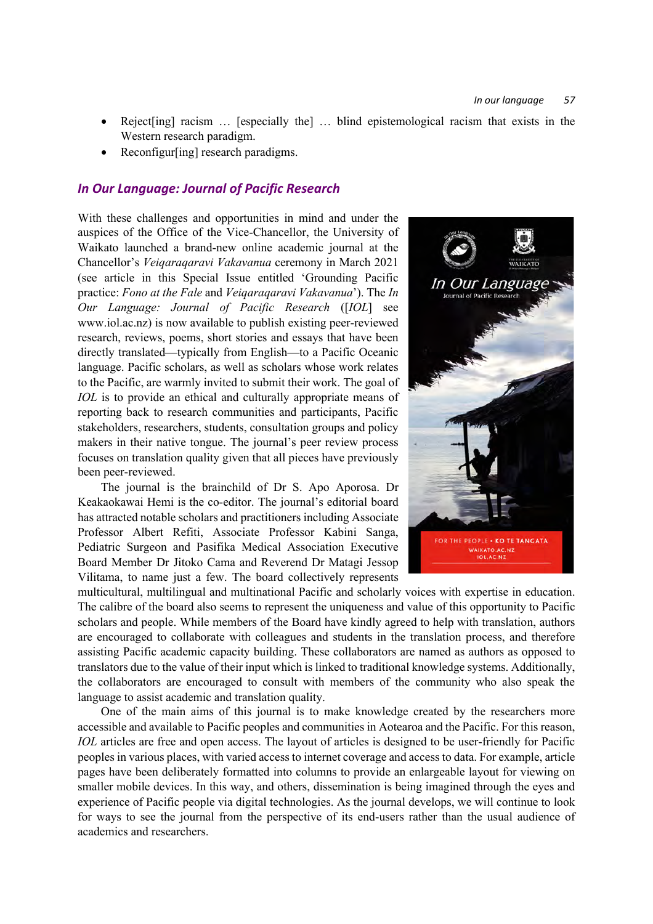- Reject[ing] racism ... [especially the] ... blind epistemological racism that exists in the Western research paradigm.
- Reconfigur[ing] research paradigms.

# *In Our Language: Journal of Pacific Research*

With these challenges and opportunities in mind and under the auspices of the Office of the Vice-Chancellor, the University of Waikato launched a brand-new online academic journal at the Chancellor's *Veiqaraqaravi Vakavanua* ceremony in March 2021 (see article in this Special Issue entitled 'Grounding Pacific practice: *Fono at the Fale* and *Veiqaraqaravi Vakavanua*'). The *In Our Language: Journal of Pacific Research* ([*IOL*] see www.iol.ac.nz) is now available to publish existing peer-reviewed research, reviews, poems, short stories and essays that have been directly translated—typically from English—to a Pacific Oceanic language. Pacific scholars, as well as scholars whose work relates to the Pacific, are warmly invited to submit their work. The goal of *IOL* is to provide an ethical and culturally appropriate means of reporting back to research communities and participants, Pacific stakeholders, researchers, students, consultation groups and policy makers in their native tongue. The journal's peer review process focuses on translation quality given that all pieces have previously been peer-reviewed.

The journal is the brainchild of Dr S. Apo Aporosa. Dr Keakaokawai Hemi is the co-editor. The journal's editorial board has attracted notable scholars and practitioners including Associate Professor Albert Refiti, Associate Professor Kabini Sanga, Pediatric Surgeon and Pasifika Medical Association Executive Board Member Dr Jitoko Cama and Reverend Dr Matagi Jessop Vilitama, to name just a few. The board collectively represents



multicultural, multilingual and multinational Pacific and scholarly voices with expertise in education. The calibre of the board also seems to represent the uniqueness and value of this opportunity to Pacific scholars and people. While members of the Board have kindly agreed to help with translation, authors are encouraged to collaborate with colleagues and students in the translation process, and therefore assisting Pacific academic capacity building. These collaborators are named as authors as opposed to translators due to the value of their input which is linked to traditional knowledge systems. Additionally, the collaborators are encouraged to consult with members of the community who also speak the language to assist academic and translation quality.

One of the main aims of this journal is to make knowledge created by the researchers more accessible and available to Pacific peoples and communities in Aotearoa and the Pacific. For this reason, *IOL* articles are free and open access. The layout of articles is designed to be user-friendly for Pacific peoples in various places, with varied access to internet coverage and access to data. For example, article pages have been deliberately formatted into columns to provide an enlargeable layout for viewing on smaller mobile devices. In this way, and others, dissemination is being imagined through the eyes and experience of Pacific people via digital technologies. As the journal develops, we will continue to look for ways to see the journal from the perspective of its end-users rather than the usual audience of academics and researchers.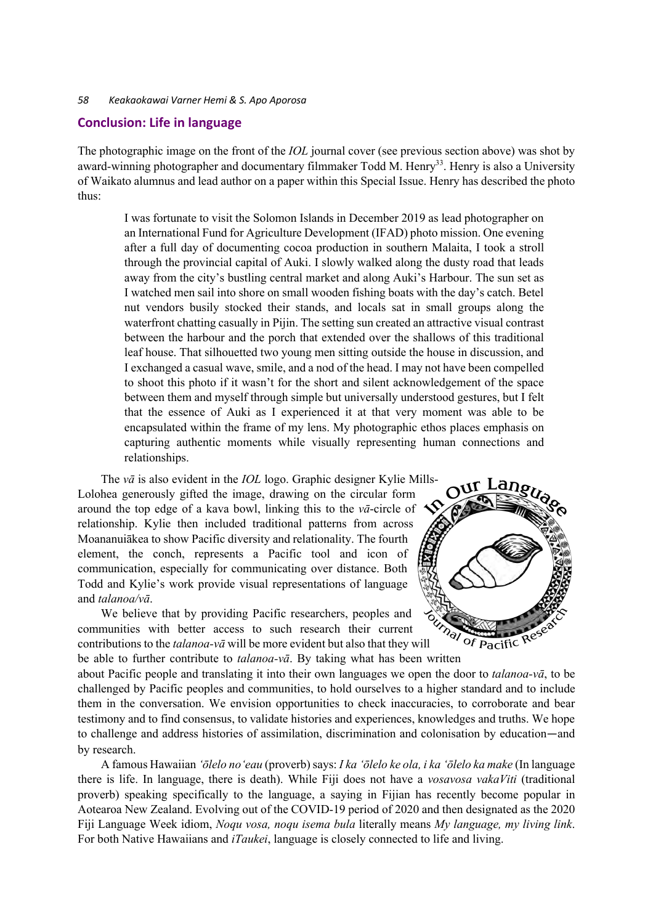### **Conclusion: Life in language**

The photographic image on the front of the *IOL* journal cover (see previous section above) was shot by award-winning photographer and documentary filmmaker Todd M. Henry<sup>33</sup>. Henry is also a University of Waikato alumnus and lead author on a paper within this Special Issue. Henry has described the photo thus:

I was fortunate to visit the Solomon Islands in December 2019 as lead photographer on an International Fund for Agriculture Development (IFAD) photo mission. One evening after a full day of documenting cocoa production in southern Malaita, I took a stroll through the provincial capital of Auki. I slowly walked along the dusty road that leads away from the city's bustling central market and along Auki's Harbour. The sun set as I watched men sail into shore on small wooden fishing boats with the day's catch. Betel nut vendors busily stocked their stands, and locals sat in small groups along the waterfront chatting casually in Pijin. The setting sun created an attractive visual contrast between the harbour and the porch that extended over the shallows of this traditional leaf house. That silhouetted two young men sitting outside the house in discussion, and I exchanged a casual wave, smile, and a nod of the head. I may not have been compelled to shoot this photo if it wasn't for the short and silent acknowledgement of the space between them and myself through simple but universally understood gestures, but I felt that the essence of Auki as I experienced it at that very moment was able to be encapsulated within the frame of my lens. My photographic ethos places emphasis on capturing authentic moments while visually representing human connections and relationships.

The *vā* is also evident in the *IOL* logo. Graphic designer Kylie Mills-Lolohea generously gifted the image, drawing on the circular form around the top edge of a kava bowl, linking this to the *vā*-circle of relationship. Kylie then included traditional patterns from across Moananuiākea to show Pacific diversity and relationality. The fourth element, the conch, represents a Pacific tool and icon of communication, especially for communicating over distance. Both Todd and Kylie's work provide visual representations of language and *talanoa/vā*.

We believe that by providing Pacific researchers, peoples and communities with better access to such research their current contributions to the *talanoa-vā* will be more evident but also that they will be able to further contribute to *talanoa-vā*. By taking what has been written



about Pacific people and translating it into their own languages we open the door to *talanoa-vā*, to be challenged by Pacific peoples and communities, to hold ourselves to a higher standard and to include them in the conversation. We envision opportunities to check inaccuracies, to corroborate and bear testimony and to find consensus, to validate histories and experiences, knowledges and truths. We hope to challenge and address histories of assimilation, discrimination and colonisation by education—and by research.

A famous Hawaiian *ʻōlelo noʻeau* (proverb) says: *I ka 'ōlelo ke ola, i ka 'ōlelo ka make* (In language there is life. In language, there is death). While Fiji does not have a *vosavosa vakaViti* (traditional proverb) speaking specifically to the language, a saying in Fijian has recently become popular in Aotearoa New Zealand. Evolving out of the COVID-19 period of 2020 and then designated as the 2020 Fiji Language Week idiom, *Noqu vosa, noqu isema bula* literally means *My language, my living link*. For both Native Hawaiians and *iTaukei*, language is closely connected to life and living.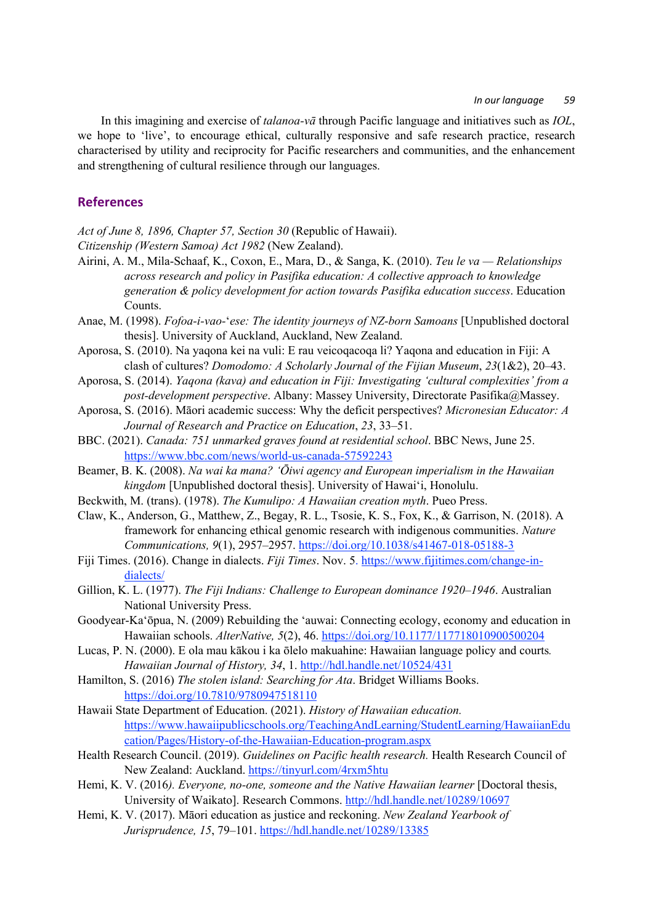In this imagining and exercise of *talanoa-vā* through Pacific language and initiatives such as *IOL*, we hope to 'live', to encourage ethical, culturally responsive and safe research practice, research characterised by utility and reciprocity for Pacific researchers and communities, and the enhancement and strengthening of cultural resilience through our languages.

# **References**

*Act of June 8, 1896, Chapter 57, Section 30* (Republic of Hawaii).

*Citizenship (Western Samoa) Act 1982* (New Zealand).

- Airini, A. M., Mila-Schaaf, K., Coxon, E., Mara, D., & Sanga, K. (2010). *Teu le va — Relationships across research and policy in Pasifika education: A collective approach to knowledge generation & policy development for action towards Pasifika education success*. Education Counts.
- Anae, M. (1998). *Fofoa-i-vao-*'*ese: The identity journeys of NZ-born Samoans* [Unpublished doctoral thesis]. University of Auckland, Auckland, New Zealand.
- Aporosa, S. (2010). Na yaqona kei na vuli: E rau veicoqacoqa li? Yaqona and education in Fiji: A clash of cultures? *Domodomo: A Scholarly Journal of the Fijian Museum*, *23*(1&2), 20–43.
- Aporosa, S. (2014). *Yaqona (kava) and education in Fiji: Investigating 'cultural complexities' from a post-development perspective*. Albany: Massey University, Directorate Pasifika@Massey.
- Aporosa, S. (2016). Māori academic success: Why the deficit perspectives? *Micronesian Educator: A Journal of Research and Practice on Education*, *23*, 33–51.
- BBC. (2021). *Canada: 751 unmarked graves found at residential school*. BBC News, June 25. https://www.bbc.com/news/world-us-canada-57592243
- Beamer, B. K. (2008). *Na wai ka mana? ʻŌiwi agency and European imperialism in the Hawaiian kingdom* [Unpublished doctoral thesis]. University of Hawaiʻi, Honolulu.
- Beckwith, M. (trans). (1978). *The Kumulipo: A Hawaiian creation myth*. Pueo Press.
- Claw, K., Anderson, G., Matthew, Z., Begay, R. L., Tsosie, K. S., Fox, K., & Garrison, N. (2018). A framework for enhancing ethical genomic research with indigenous communities. *Nature Communications, 9*(1), 2957–2957. https://doi.org/10.1038/s41467-018-05188-3
- Fiji Times. (2016). Change in dialects. *Fiji Times*. Nov. 5. https://www.fijitimes.com/change-indialects/
- Gillion, K. L. (1977). *The Fiji Indians: Challenge to European dominance 1920–1946*. Australian National University Press.
- Goodyear-Kaʻōpua, N. (2009) Rebuilding the ʻauwai: Connecting ecology, economy and education in Hawaiian schools. *AlterNative, 5*(2), 46. https://doi.org/10.1177/117718010900500204
- Lucas, P. N. (2000). E ola mau kākou i ka ōlelo makuahine: Hawaiian language policy and courts*. Hawaiian Journal of History, 34*, 1. http://hdl.handle.net/10524/431
- Hamilton, S. (2016) *The stolen island: Searching for Ata*. Bridget Williams Books. https://doi.org/10.7810/9780947518110
- Hawaii State Department of Education. (2021). *History of Hawaiian education.*  https://www.hawaiipublicschools.org/TeachingAndLearning/StudentLearning/HawaiianEdu cation/Pages/History-of-the-Hawaiian-Education-program.aspx
- Health Research Council. (2019). *Guidelines on Pacific health research.* Health Research Council of New Zealand: Auckland. https://tinyurl.com/4rxm5htu
- Hemi, K. V. (2016*). Everyone, no-one, someone and the Native Hawaiian learner* [Doctoral thesis, University of Waikato]. Research Commons. http://hdl.handle.net/10289/10697
- Hemi, K. V. (2017). Māori education as justice and reckoning. *New Zealand Yearbook of Jurisprudence, 15*, 79–101. https://hdl.handle.net/10289/13385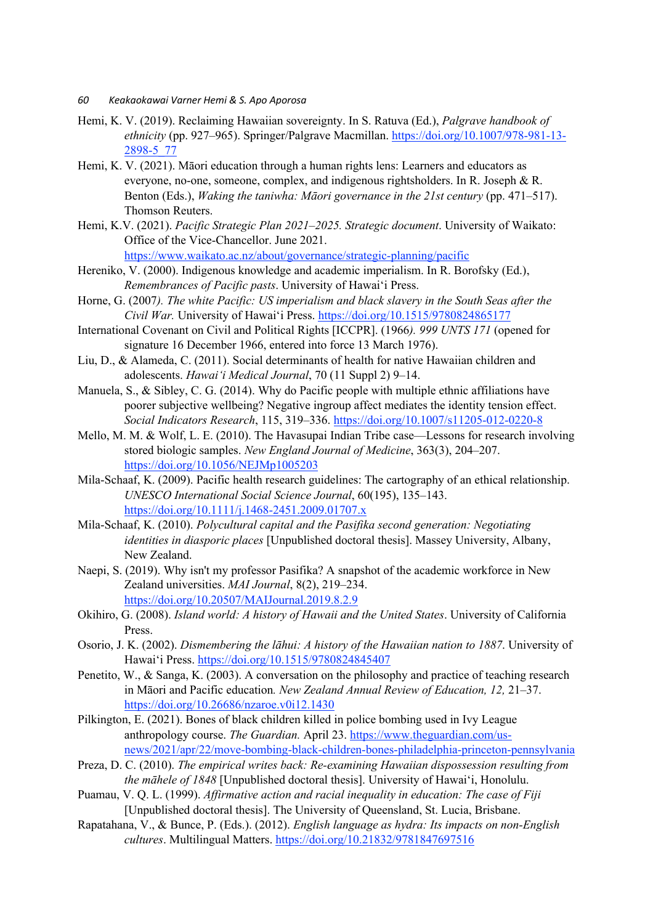- *60 Keakaokawai Varner Hemi & S. Apo Aporosa*
- Hemi, K. V. (2019). Reclaiming Hawaiian sovereignty. In S. Ratuva (Ed.), *Palgrave handbook of ethnicity* (pp. 927–965). Springer/Palgrave Macmillan. https://doi.org/10.1007/978-981-13- 2898-5\_77
- Hemi, K. V. (2021). Māori education through a human rights lens: Learners and educators as everyone, no-one, someone, complex, and indigenous rightsholders. In R. Joseph & R. Benton (Eds.), *Waking the taniwha: Māori governance in the 21st century* (pp. 471–517). Thomson Reuters.
- Hemi, K.V. (2021). *Pacific Strategic Plan 2021–2025. Strategic document*. University of Waikato: Office of the Vice-Chancellor. June 2021. https://www.waikato.ac.nz/about/governance/strategic-planning/pacific

Hereniko, V. (2000). Indigenous knowledge and academic imperialism. In R. Borofsky (Ed.), *Remembrances of Pacific pasts*. University of Hawaiʻi Press.

- Horne, G. (2007*). The white Pacific: US imperialism and black slavery in the South Seas after the Civil War.* University of Hawaiʻi Press. https://doi.org/10.1515/9780824865177
- International Covenant on Civil and Political Rights [ICCPR]. (1966*). 999 UNTS 171* (opened for signature 16 December 1966, entered into force 13 March 1976).
- Liu, D., & Alameda, C. (2011). Social determinants of health for native Hawaiian children and adolescents. *Hawaiʻi Medical Journal*, 70 (11 Suppl 2) 9–14.
- Manuela, S., & Sibley, C. G. (2014). Why do Pacific people with multiple ethnic affiliations have poorer subjective wellbeing? Negative ingroup affect mediates the identity tension effect. *Social Indicators Research*, 115, 319–336. https://doi.org/10.1007/s11205-012-0220-8
- Mello, M. M. & Wolf, L. E. (2010). The Havasupai Indian Tribe case—Lessons for research involving stored biologic samples. *New England Journal of Medicine*, 363(3), 204–207. https://doi.org/10.1056/NEJMp1005203
- Mila-Schaaf, K. (2009). Pacific health research guidelines: The cartography of an ethical relationship. *UNESCO International Social Science Journal*, 60(195), 135–143. https://doi.org/10.1111/j.1468-2451.2009.01707.x
- Mila-Schaaf, K. (2010). *Polycultural capital and the Pasifika second generation: Negotiating identities in diasporic places* [Unpublished doctoral thesis]. Massey University, Albany, New Zealand.
- Naepi, S. (2019). Why isn't my professor Pasifika? A snapshot of the academic workforce in New Zealand universities. *MAI Journal*, 8(2), 219–234. https://doi.org/10.20507/MAIJournal.2019.8.2.9
- Okihiro, G. (2008). *Island world: A history of Hawaii and the United States*. University of California Press.
- Osorio, J. K. (2002). *Dismembering the lāhui: A history of the Hawaiian nation to 1887*. University of Hawaiʻi Press. https://doi.org/10.1515/9780824845407
- Penetito, W., & Sanga, K. (2003). A conversation on the philosophy and practice of teaching research in Māori and Pacific education*. New Zealand Annual Review of Education, 12,* 21–37. https://doi.org/10.26686/nzaroe.v0i12.1430
- Pilkington, E. (2021). Bones of black children killed in police bombing used in Ivy League anthropology course. *The Guardian.* April 23. https://www.theguardian.com/usnews/2021/apr/22/move-bombing-black-children-bones-philadelphia-princeton-pennsylvania
- Preza, D. C. (2010). *The empirical writes back: Re-examining Hawaiian dispossession resulting from the māhele of 1848* [Unpublished doctoral thesis]. University of Hawaiʻi, Honolulu.
- Puamau, V. Q. L. (1999). *Affirmative action and racial inequality in education: The case of Fiji* [Unpublished doctoral thesis]. The University of Queensland, St. Lucia, Brisbane.
- Rapatahana, V., & Bunce, P. (Eds.). (2012). *English language as hydra: Its impacts on non-English cultures*. Multilingual Matters. https://doi.org/10.21832/9781847697516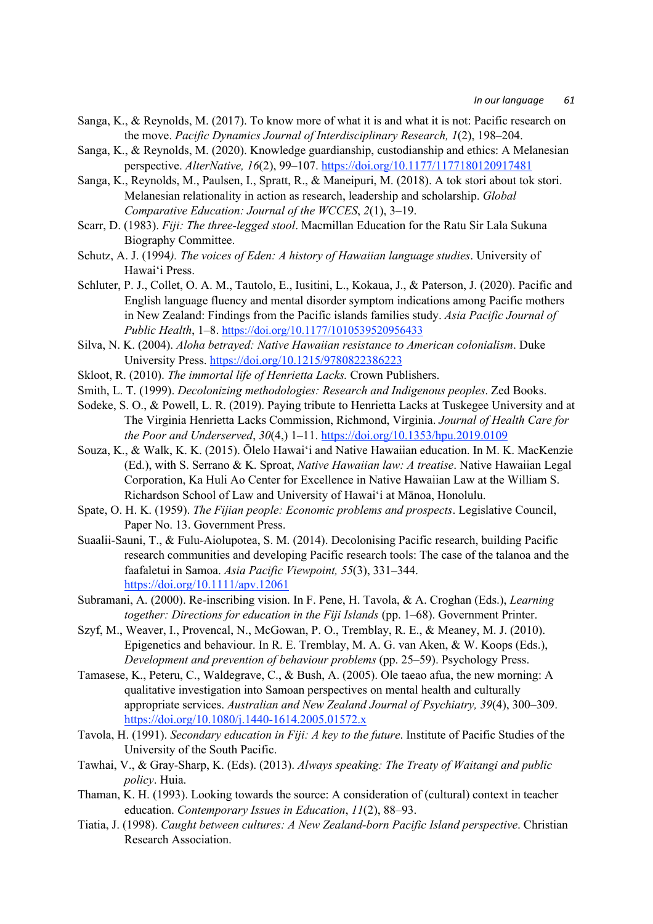- Sanga, K., & Reynolds, M. (2017). To know more of what it is and what it is not: Pacific research on the move. *Pacific Dynamics Journal of Interdisciplinary Research, 1*(2), 198–204.
- Sanga, K., & Reynolds, M. (2020). Knowledge guardianship, custodianship and ethics: A Melanesian perspective. *AlterNative, 16*(2), 99–107. https://doi.org/10.1177/1177180120917481
- Sanga, K., Reynolds, M., Paulsen, I., Spratt, R., & Maneipuri, M. (2018). A tok stori about tok stori. Melanesian relationality in action as research, leadership and scholarship. *Global Comparative Education: Journal of the WCCES*, *2*(1), 3–19.
- Scarr, D. (1983). *Fiji: The three-legged stool*. Macmillan Education for the Ratu Sir Lala Sukuna Biography Committee.
- Schutz, A. J. (1994*). The voices of Eden: A history of Hawaiian language studies*. University of Hawaiʻi Press.
- Schluter, P. J., Collet, O. A. M., Tautolo, E., Iusitini, L., Kokaua, J., & Paterson, J. (2020). Pacific and English language fluency and mental disorder symptom indications among Pacific mothers in New Zealand: Findings from the Pacific islands families study. *Asia Pacific Journal of Public Health*, 1–8. https://doi.org/10.1177/1010539520956433
- Silva, N. K. (2004). *Aloha betrayed: Native Hawaiian resistance to American colonialism*. Duke University Press. https://doi.org/10.1215/9780822386223
- Skloot, R. (2010). *The immortal life of Henrietta Lacks.* Crown Publishers.
- Smith, L. T. (1999). *Decolonizing methodologies: Research and Indigenous peoples*. Zed Books.
- Sodeke, S. O., & Powell, L. R. (2019). Paying tribute to Henrietta Lacks at Tuskegee University and at The Virginia Henrietta Lacks Commission, Richmond, Virginia. *Journal of Health Care for the Poor and Underserved*, *30*(4,) 1–11. https://doi.org/10.1353/hpu.2019.0109
- Souza, K., & Walk, K. K. (2015). Ōlelo Hawaiʻi and Native Hawaiian education. In M. K. MacKenzie (Ed.), with S. Serrano & K. Sproat, *Native Hawaiian law: A treatise*. Native Hawaiian Legal Corporation, Ka Huli Ao Center for Excellence in Native Hawaiian Law at the William S. Richardson School of Law and University of Hawaiʻi at Mānoa, Honolulu.
- Spate, O. H. K. (1959). *The Fijian people: Economic problems and prospects*. Legislative Council, Paper No. 13. Government Press.
- Suaalii-Sauni, T., & Fulu-Aiolupotea, S. M. (2014). Decolonising Pacific research, building Pacific research communities and developing Pacific research tools: The case of the talanoa and the faafaletui in Samoa. *Asia Pacific Viewpoint, 55*(3), 331–344. https://doi.org/10.1111/apv.12061
- Subramani, A. (2000). Re-inscribing vision. In F. Pene, H. Tavola, & A. Croghan (Eds.), *Learning together: Directions for education in the Fiji Islands* (pp. 1–68). Government Printer.
- Szyf, M., Weaver, I., Provencal, N., McGowan, P. O., Tremblay, R. E., & Meaney, M. J. (2010). Epigenetics and behaviour. In R. E. Tremblay, M. A. G. van Aken, & W. Koops (Eds.), *Development and prevention of behaviour problems* (pp. 25–59). Psychology Press.
- Tamasese, K., Peteru, C., Waldegrave, C., & Bush, A. (2005). Ole taeao afua, the new morning: A qualitative investigation into Samoan perspectives on mental health and culturally appropriate services. *Australian and New Zealand Journal of Psychiatry, 39*(4), 300–309. https://doi.org/10.1080/j.1440-1614.2005.01572.x
- Tavola, H. (1991). *Secondary education in Fiji: A key to the future*. Institute of Pacific Studies of the University of the South Pacific.
- Tawhai, V., & Gray-Sharp, K. (Eds). (2013). *Always speaking: The Treaty of Waitangi and public policy*. Huia.
- Thaman, K. H. (1993). Looking towards the source: A consideration of (cultural) context in teacher education. *Contemporary Issues in Education*, *11*(2), 88–93.
- Tiatia, J. (1998). *Caught between cultures: A New Zealand-born Pacific Island perspective*. Christian Research Association.